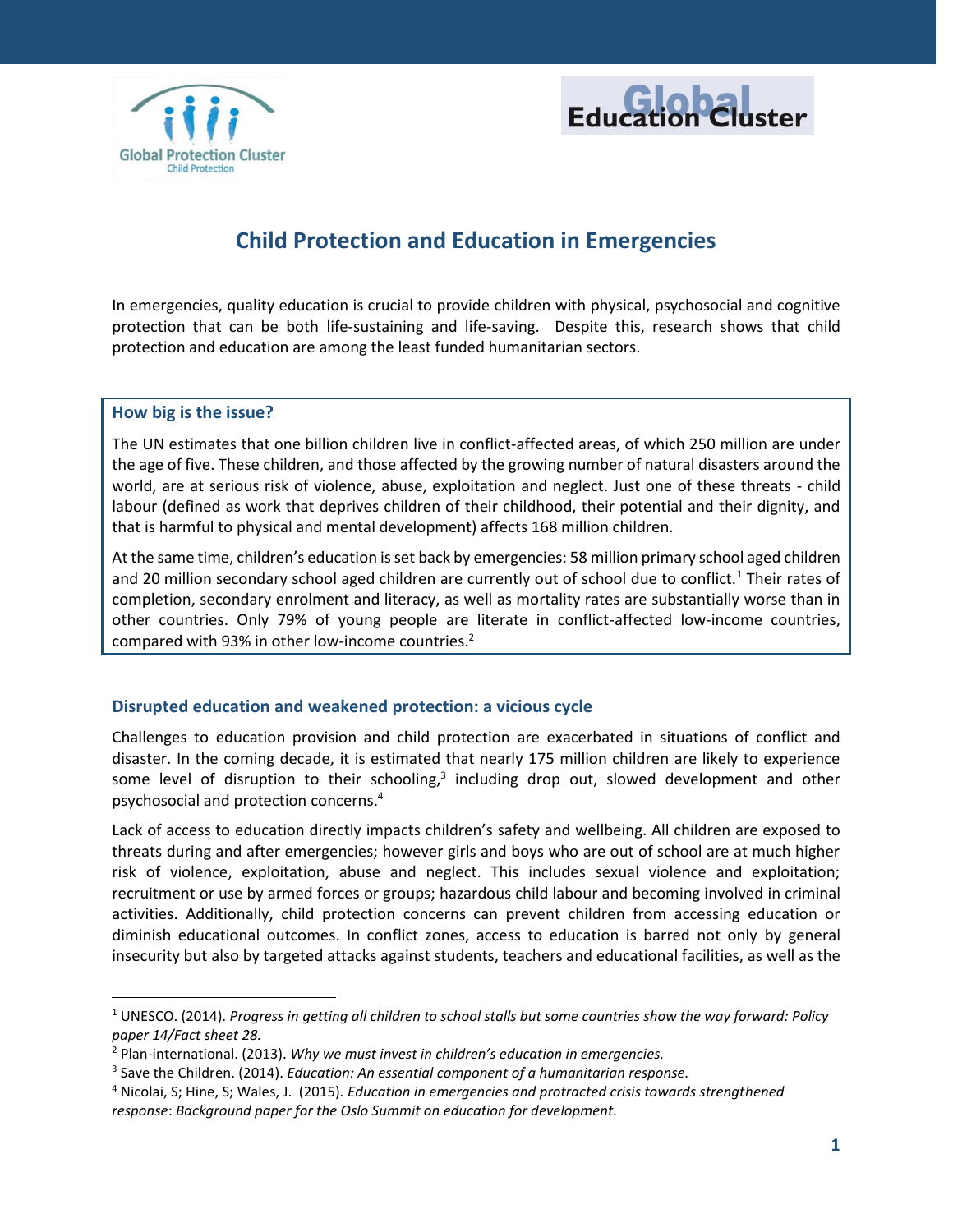



# **Child Protection and Education in Emergencies**

In emergencies, quality education is crucial to provide children with physical, psychosocial and cognitive protection that can be both life-sustaining and life-saving. Despite this, research shows that child protection and education are among the least funded humanitarian sectors.

### **How big is the issue?**

 $\overline{a}$ 

The UN estimates that one billion children live in conflict-affected areas, of which 250 million are under the age of five. These children, and those affected by the growing number of natural disasters around the world, are at serious risk of violence, abuse, exploitation and neglect. Just one of these threats - child labour (defined as work that deprives children of their childhood, their potential and their dignity, and that is harmful to physical and mental development) affects 168 million children.

At the same time, children's education is set back by emergencies: 58 million primary school aged children and 20 million secondary school aged children are currently out of school due to conflict.<sup>1</sup> Their rates of completion, secondary enrolment and literacy, as well as mortality rates are substantially worse than in other countries. Only 79% of young people are literate in conflict-affected low-income countries, compared with 93% in other low-income countries. 2

## **Disrupted education and weakened protection: a vicious cycle**

Challenges to education provision and child protection are exacerbated in situations of conflict and disaster. In the coming decade, it is estimated that nearly 175 million children are likely to experience some level of disruption to their schooling, $^3$  including drop out, slowed development and other psychosocial and protection concerns.<sup>4</sup>

Lack of access to education directly impacts children's safety and wellbeing. All children are exposed to threats during and after emergencies; however girls and boys who are out of school are at much higher risk of violence, exploitation, abuse and neglect. This includes sexual violence and exploitation; recruitment or use by armed forces or groups; hazardous child labour and becoming involved in criminal activities. Additionally, child protection concerns can prevent children from accessing education or diminish educational outcomes. In conflict zones, access to education is barred not only by general insecurity but also by targeted attacks against students, teachers and educational facilities, as well as the

<sup>1</sup> UNESCO. (2014). *Progress in getting all children to school stalls but some countries show the way forward: Policy paper 14/Fact sheet 28.*

<sup>2</sup> Plan-international. (2013). *Why we must invest in children's education in emergencies.* 

<sup>3</sup> Save the Children. (2014). *Education: An essential component of a humanitarian response.* 

<sup>4</sup> Nicolai, S; Hine, S; Wales, J. (2015). *Education in emergencies and protracted crisis towards strengthened response*: *Background paper for the Oslo Summit on education for development.*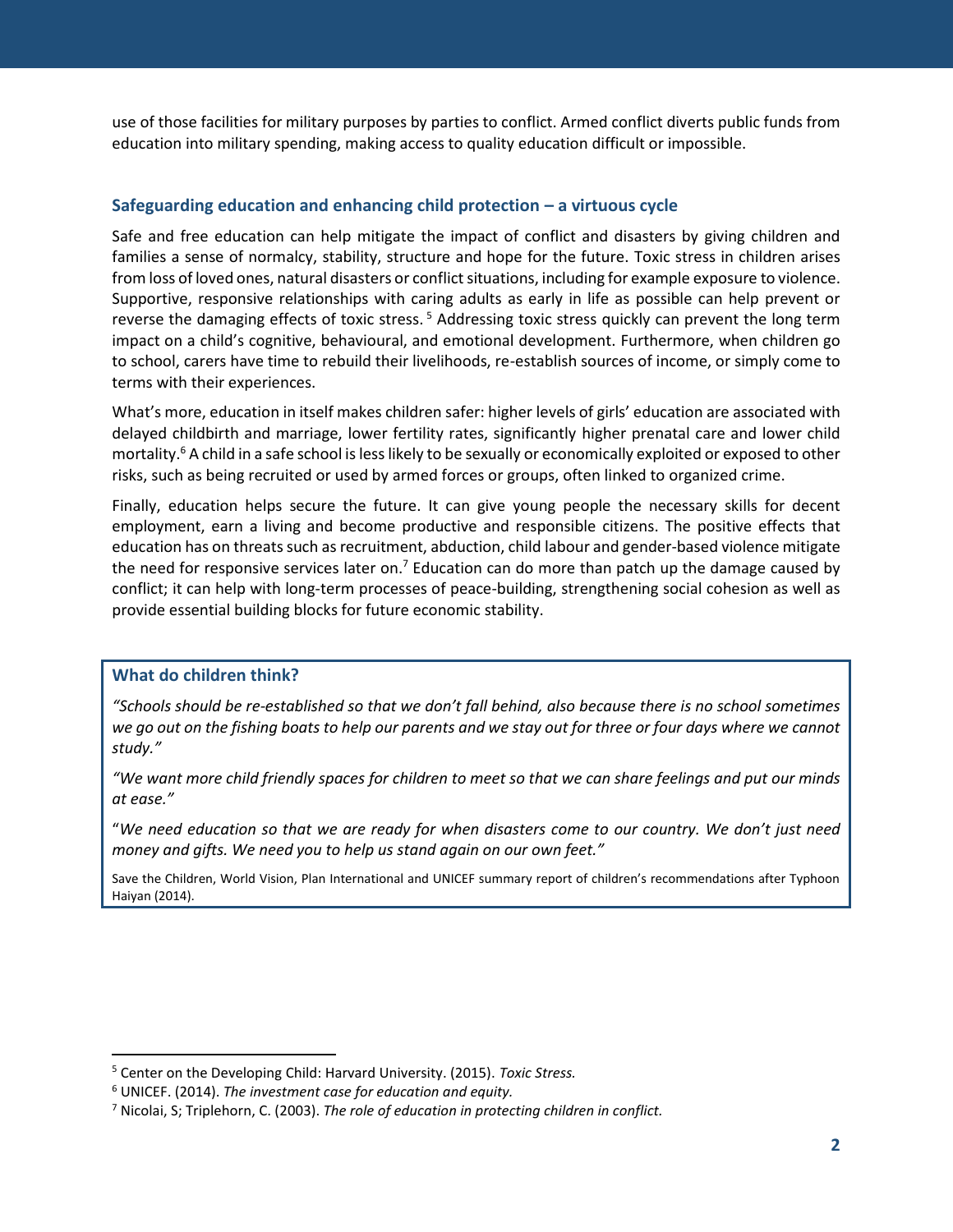use of those facilities for military purposes by parties to conflict. Armed conflict diverts public funds from education into military spending, making access to quality education difficult or impossible.

l

# **Safeguarding education and enhancing child protection – a virtuous cycle**

Safe and free education can help mitigate the impact of conflict and disasters by giving children and families a sense of normalcy, stability, structure and hope for the future. Toxic stress in children arises from loss of loved ones, natural disasters or conflict situations, including for example exposure to violence. Supportive, responsive relationships with caring adults as early in life as possible can help prevent or reverse the damaging effects of toxic stress.<sup>5</sup> Addressing toxic stress quickly can prevent the long term impact on a child's cognitive, behavioural, and emotional development. Furthermore, when children go to school, carers have time to rebuild their livelihoods, re-establish sources of income, or simply come to terms with their experiences.

What's more, education in itself makes children safer: higher levels of girls' education are associated with delayed childbirth and marriage, lower fertility rates, significantly higher prenatal care and lower child mortality.<sup>6</sup> A child in a safe school is less likely to be sexually or economically exploited or exposed to other risks, such as being recruited or used by armed forces or groups, often linked to organized crime.

Finally, education helps secure the future. It can give young people the necessary skills for decent employment, earn a living and become productive and responsible citizens. The positive effects that education has on threats such as recruitment, abduction, child labour and gender-based violence mitigate the need for responsive services later on.<sup>7</sup> Education can do more than patch up the damage caused by conflict; it can help with long-term processes of peace-building, strengthening social cohesion as well as provide essential building blocks for future economic stability.

## **What do children think?**

 $\overline{\phantom{a}}$ 

*"Schools should be re-established so that we don't fall behind, also because there is no school sometimes we go out on the fishing boats to help our parents and we stay out for three or four days where we cannot study."*

*"We want more child friendly spaces for children to meet so that we can share feelings and put our minds at ease."*

"*We need education so that we are ready for when disasters come to our country. We don't just need money and gifts. We need you to help us stand again on our own feet."*

Save the Children, World Vision, Plan International and UNICEF summary report of children's recommendations after Typhoon Haiyan (2014).

<sup>5</sup> Center on the Developing Child: Harvard University. (2015). *Toxic Stress.* 

<sup>6</sup> UNICEF. (2014). *The investment case for education and equity.* 

<sup>7</sup> Nicolai, S; Triplehorn, C. (2003). *The role of education in protecting children in conflict.*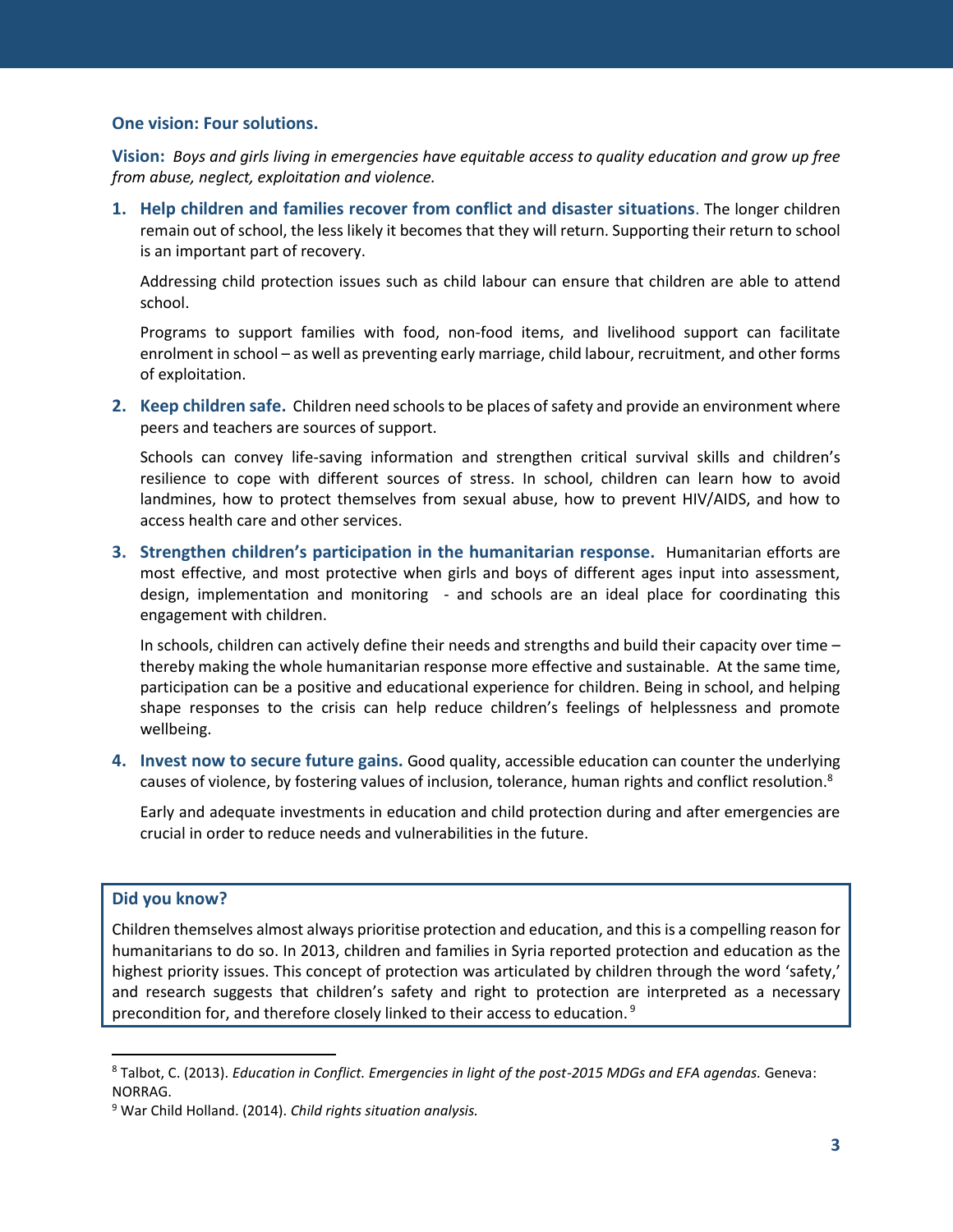### **One vision: Four solutions.**

**Vision:** *Boys and girls living in emergencies have equitable access to quality education and grow up free from abuse, neglect, exploitation and violence.* 

l

**1. Help children and families recover from conflict and disaster situations**. The longer children remain out of school, the less likely it becomes that they will return. Supporting their return to school is an important part of recovery.

Addressing child protection issues such as child labour can ensure that children are able to attend school.

Programs to support families with food, non-food items, and livelihood support can facilitate enrolment in school – as well as preventing early marriage, child labour, recruitment, and other forms of exploitation.

**2. Keep children safe.** Children need schools to be places of safety and provide an environment where peers and teachers are sources of support.

Schools can convey life-saving information and strengthen critical survival skills and children's resilience to cope with different sources of stress. In school, children can learn how to avoid landmines, how to protect themselves from sexual abuse, how to prevent HIV/AIDS, and how to access health care and other services.

**3. Strengthen children's participation in the humanitarian response.** Humanitarian efforts are most effective, and most protective when girls and boys of different ages input into assessment, design, implementation and monitoring - and schools are an ideal place for coordinating this engagement with children.

In schools, children can actively define their needs and strengths and build their capacity over time – thereby making the whole humanitarian response more effective and sustainable. At the same time, participation can be a positive and educational experience for children. Being in school, and helping shape responses to the crisis can help reduce children's feelings of helplessness and promote wellbeing.

**4. Invest now to secure future gains.** Good quality, accessible education can counter the underlying causes of violence, by fostering values of inclusion, tolerance, human rights and conflict resolution.<sup>8</sup>

Early and adequate investments in education and child protection during and after emergencies are crucial in order to reduce needs and vulnerabilities in the future.

### **Did you know?**

 $\overline{\phantom{a}}$ 

Children themselves almost always prioritise protection and education, and this is a compelling reason for humanitarians to do so. In 2013, children and families in Syria reported protection and education as the highest priority issues. This concept of protection was articulated by children through the word 'safety,' and research suggests that children's safety and right to protection are interpreted as a necessary precondition for, and therefore closely linked to their access to education. <sup>9</sup>

<sup>8</sup> Talbot, C. (2013). *Education in Conflict. Emergencies in light of the post-2015 MDGs and EFA agendas.* Geneva: NORRAG.

<sup>9</sup> War Child Holland. (2014). *Child rights situation analysis.*